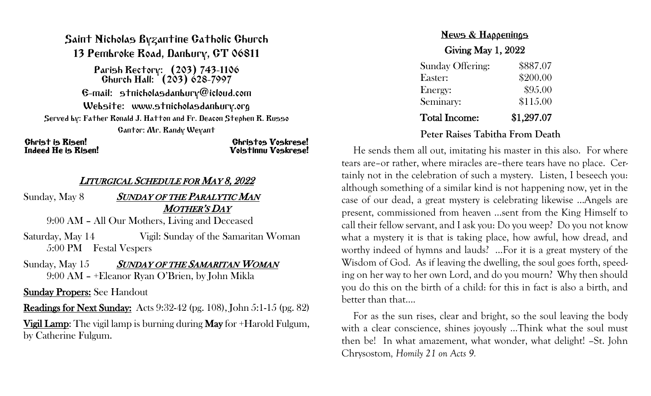## Saint Nicholas Byzantine Catholic Church 13 Pembroke Road, Danbury, CT 06811

Parish Rectory: (203) 743-1106 Church Hall: (203) 628-7997 E-mail: stnicholasdanbury@icloud.com Website: www.stnicholasdanbury.org Served by: Father Ronald J. Hatton and Fr. Deacon Stephen R. Russo Cantor: Mr. Randy Weyant

# Christ is Risen! Christos Voskrese! Indeed He is Risen! Voistinnu Voskrese!

## <sup>L</sup>ITURGICAL SCHEDULE FOR MAY 8, <sup>2022</sup>

Sunday, May 8 SUNDAY OF THE PARALYTIC MAN MOTHER'S DAY

9:00 AM – All Our Mothers, Living and Deceased

Saturday, May 14 Vigil: Sunday of the Samaritan Woman 5:00 PM Festal Vespers

Sunday, May 15 SUNDAY OF THE SAMARITAN WOMAN 9:00 AM – +Eleanor Ryan O'Brien, by John Mikla

Sunday Propers: See Handout

Readings for Next Sunday: Acts 9:32-42 (pg. 108), John 5:1-15 (pg. 82)

Vigil Lamp: The vigil lamp is burning during May for +Harold Fulgum, by Catherine Fulgum.

# News & Happenings Giving May 1, 2022

| <b>Sunday Offering:</b> | \$887.07   |
|-------------------------|------------|
| Easter:                 | \$200.00   |
| Energy:                 | \$95.00    |
| Seminary:               | \$115.00   |
| <b>Total Income:</b>    | \$1,297.07 |

#### **Peter Raises Tabitha From Death**

He sends them all out, imitating his master in this also. For where tears are–or rather, where miracles are–there tears have no place. Certainly not in the celebration of such a mystery. Listen, I beseech you: although something of a similar kind is not happening now, yet in the case of our dead, a great mystery is celebrating likewise …Angels are present, commissioned from heaven …sent from the King Himself to call their fellow servant, and I ask you: Do you weep? Do you not know what a mystery it is that is taking place, how awful, how dread, and worthy indeed of hymns and lauds? …For it is a great mystery of the Wisdom of God. As if leaving the dwelling, the soul goes forth, speeding on her way to her own Lord, and do you mourn? Why then should you do this on the birth of a child: for this in fact is also a birth, and better than that….

For as the sun rises, clear and bright, so the soul leaving the body with a clear conscience, shines joyously …Think what the soul must then be! In what amazement, what wonder, what delight! *–*St. John Chrysostom*, Homily 21 on Acts 9.*